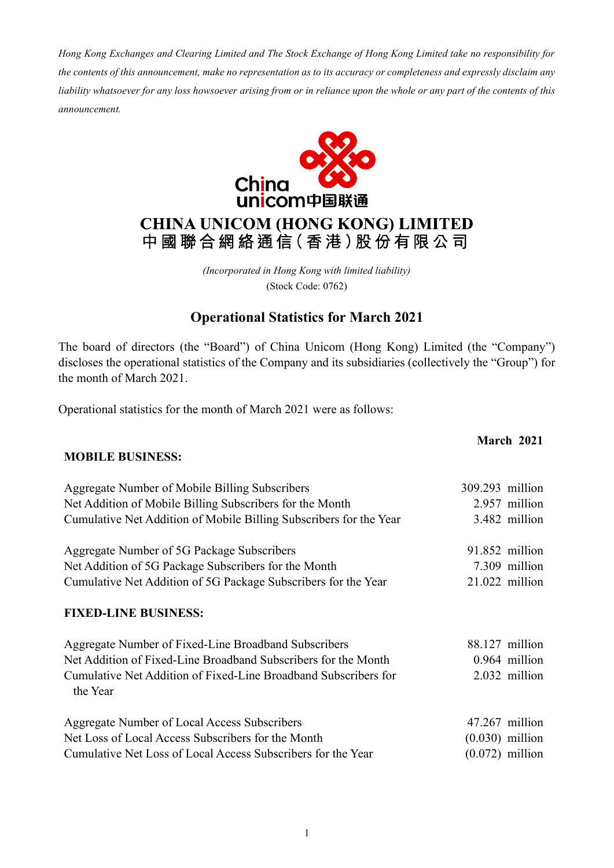*Hong Kong Exchanges and Clearing Limited and The Stock Exchange of Hong Kong Limited take no responsibility for the contents of this announcement, make no representation as to its accuracy or completeness and expressly disclaim any liability whatsoever for any loss howsoever arising from or in reliance upon the whole or any part of the contents of this announcement.*



### **CHINA UNICOM (HONG KONG) LIMITED** 中國聯合網絡通信(香港)股份有限公司

*(Incorporated in Hong Kong with limited liability)* (Stock Code: 0762)

### **Operational Statistics for March 2021**

The board of directors (the "Board") of China Unicom (Hong Kong) Limited (the "Company") discloses the operational statistics of the Company and its subsidiaries (collectively the "Group") for the month of March 2021.

Operational statistics for the month of March 2021 were as follows:

# **March 2021 MOBILE BUSINESS:** Aggregate Number of Mobile Billing Subscribers 309.293 million Net Addition of Mobile Billing Subscribers for the Month 2.957 million Cumulative Net Addition of Mobile Billing Subscribers for the Year 3.482 million Aggregate Number of 5G Package Subscribers 91.852 million Net Addition of 5G Package Subscribers for the Month 7.309 million Cumulative Net Addition of 5G Package Subscribers for the Year 21.022 million **FIXED-LINE BUSINESS:** Aggregate Number of Fixed-Line Broadband Subscribers 88.127 million Net Addition of Fixed-Line Broadband Subscribers for the Month 0.964 million Cumulative Net Addition of Fixed-Line Broadband Subscribers for the Year 2.032 million Aggregate Number of Local Access Subscribers 47.267 million Net Loss of Local Access Subscribers for the Month (0.030) million Cumulative Net Loss of Local Access Subscribers for the Year (0.072) million